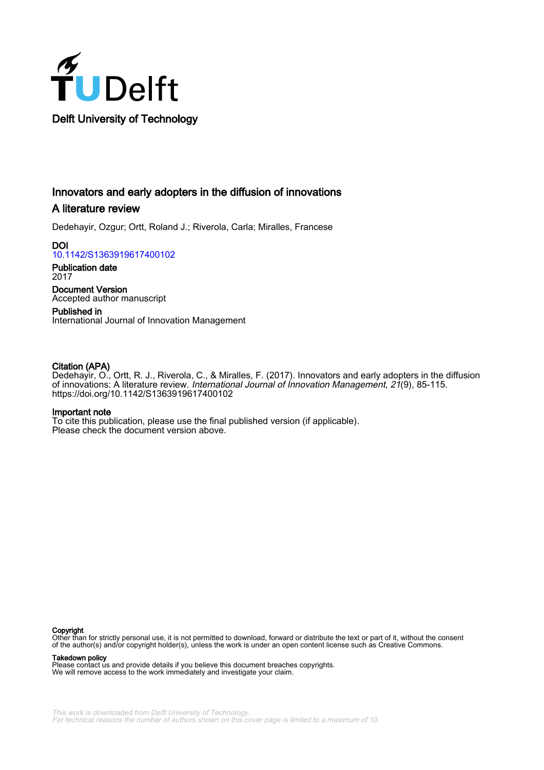

# Innovators and early adopters in the diffusion of innovations

## A literature review

Dedehayir, Ozgur; Ortt, Roland J.; Riverola, Carla; Miralles, Francese

DOI [10.1142/S1363919617400102](https://doi.org/10.1142/S1363919617400102)

Publication date 2017

Document Version Accepted author manuscript

Published in International Journal of Innovation Management

## Citation (APA)

Dedehayir, O., Ortt, R. J., Riverola, C., & Miralles, F. (2017). Innovators and early adopters in the diffusion of innovations: A literature review. International Journal of Innovation Management, 21(9), 85-115. <https://doi.org/10.1142/S1363919617400102>

### Important note

To cite this publication, please use the final published version (if applicable). Please check the document version above.

#### Copyright

Other than for strictly personal use, it is not permitted to download, forward or distribute the text or part of it, without the consent of the author(s) and/or copyright holder(s), unless the work is under an open content license such as Creative Commons.

Takedown policy

Please contact us and provide details if you believe this document breaches copyrights. We will remove access to the work immediately and investigate your claim.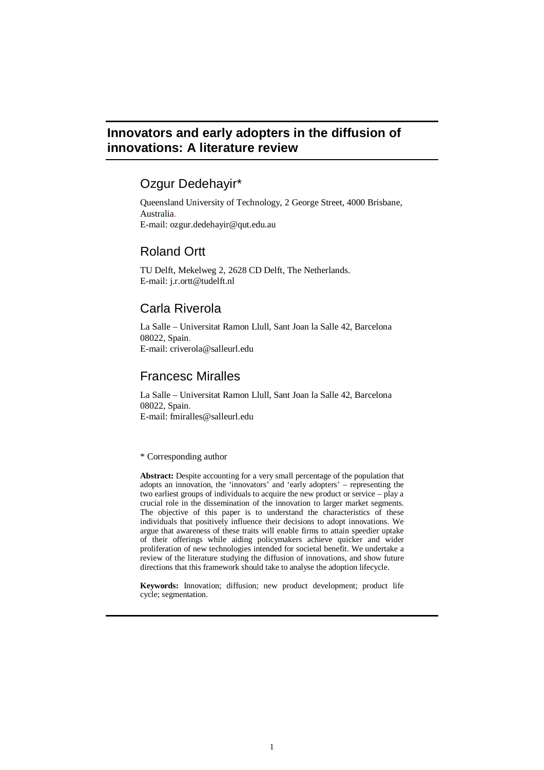# **Innovators and early adopters in the diffusion of innovations: A literature review**

# Ozgur Dedehayir\*

Queensland University of Technology, 2 George Street, 4000 Brisbane, Australia. E-mail: ozgur.dedehayir@qut.edu.au

# Roland Ortt

TU Delft, Mekelweg 2, 2628 CD Delft, The Netherlands. E-mail: j.r.ortt@tudelft.nl

# Carla Riverola

La Salle – Universitat Ramon Llull, Sant Joan la Salle 42, Barcelona 08022, Spain. E-mail: criverola@salleurl.edu

# Francesc Miralles

La Salle – Universitat Ramon Llull, Sant Joan la Salle 42, Barcelona 08022, Spain. E-mail: fmiralles@salleurl.edu

### \* Corresponding author

**Abstract:** Despite accounting for a very small percentage of the population that adopts an innovation, the 'innovators' and 'early adopters' – representing the two earliest groups of individuals to acquire the new product or service – play a crucial role in the dissemination of the innovation to larger market segments. The objective of this paper is to understand the characteristics of these individuals that positively influence their decisions to adopt innovations. We argue that awareness of these traits will enable firms to attain speedier uptake of their offerings while aiding policymakers achieve quicker and wider proliferation of new technologies intended for societal benefit. We undertake a review of the literature studying the diffusion of innovations, and show future directions that this framework should take to analyse the adoption lifecycle.

**Keywords:** Innovation; diffusion; new product development; product life cycle; segmentation.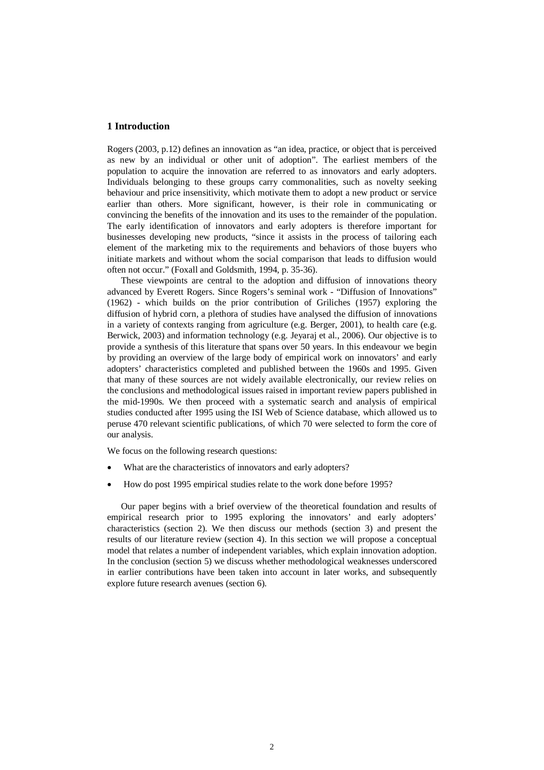## **1 Introduction**

Rogers (2003, p.12) defines an innovation as "an idea, practice, or object that is perceived as new by an individual or other unit of adoption". The earliest members of the population to acquire the innovation are referred to as innovators and early adopters. Individuals belonging to these groups carry commonalities, such as novelty seeking behaviour and price insensitivity, which motivate them to adopt a new product or service earlier than others. More significant, however, is their role in communicating or convincing the benefits of the innovation and its uses to the remainder of the population. The early identification of innovators and early adopters is therefore important for businesses developing new products, "since it assists in the process of tailoring each element of the marketing mix to the requirements and behaviors of those buyers who initiate markets and without whom the social comparison that leads to diffusion would often not occur." (Foxall and Goldsmith, 1994, p. 35-36).

These viewpoints are central to the adoption and diffusion of innovations theory advanced by Everett Rogers. Since Rogers's seminal work - "Diffusion of Innovations" (1962) - which builds on the prior contribution of Griliches (1957) exploring the diffusion of hybrid corn, a plethora of studies have analysed the diffusion of innovations in a variety of contexts ranging from agriculture (e.g. Berger, 2001), to health care (e.g. Berwick, 2003) and information technology (e.g. Jeyaraj et al., 2006). Our objective is to provide a synthesis of this literature that spans over 50 years. In this endeavour we begin by providing an overview of the large body of empirical work on innovators' and early adopters' characteristics completed and published between the 1960s and 1995. Given that many of these sources are not widely available electronically, our review relies on the conclusions and methodological issues raised in important review papers published in the mid-1990s. We then proceed with a systematic search and analysis of empirical studies conducted after 1995 using the ISI Web of Science database, which allowed us to peruse 470 relevant scientific publications, of which 70 were selected to form the core of our analysis.

We focus on the following research questions:

- What are the characteristics of innovators and early adopters?
- How do post 1995 empirical studies relate to the work done before 1995?

Our paper begins with a brief overview of the theoretical foundation and results of empirical research prior to 1995 exploring the innovators' and early adopters' characteristics (section 2). We then discuss our methods (section 3) and present the results of our literature review (section 4). In this section we will propose a conceptual model that relates a number of independent variables, which explain innovation adoption. In the conclusion (section 5) we discuss whether methodological weaknesses underscored in earlier contributions have been taken into account in later works, and subsequently explore future research avenues (section 6).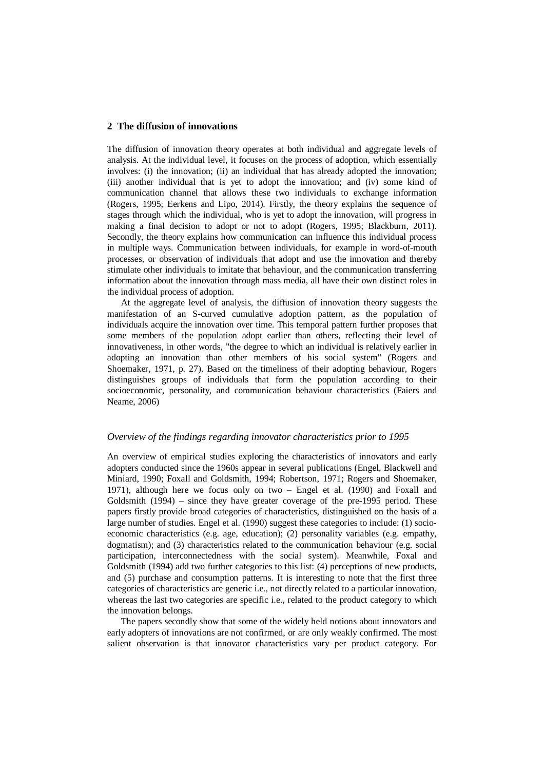## **2 The diffusion of innovations**

The diffusion of innovation theory operates at both individual and aggregate levels of analysis. At the individual level, it focuses on the process of adoption, which essentially involves: (i) the innovation; (ii) an individual that has already adopted the innovation; (iii) another individual that is yet to adopt the innovation; and (iv) some kind of communication channel that allows these two individuals to exchange information (Rogers, 1995; Eerkens and Lipo, 2014). Firstly, the theory explains the sequence of stages through which the individual, who is yet to adopt the innovation, will progress in making a final decision to adopt or not to adopt (Rogers, 1995; Blackburn, 2011). Secondly, the theory explains how communication can influence this individual process in multiple ways. Communication between individuals, for example in word-of-mouth processes, or observation of individuals that adopt and use the innovation and thereby stimulate other individuals to imitate that behaviour, and the communication transferring information about the innovation through mass media, all have their own distinct roles in the individual process of adoption.

At the aggregate level of analysis, the diffusion of innovation theory suggests the manifestation of an S-curved cumulative adoption pattern, as the population of individuals acquire the innovation over time. This temporal pattern further proposes that some members of the population adopt earlier than others, reflecting their level of innovativeness, in other words, "the degree to which an individual is relatively earlier in adopting an innovation than other members of his social system" (Rogers and Shoemaker, 1971, p. 27). Based on the timeliness of their adopting behaviour, Rogers distinguishes groups of individuals that form the population according to their socioeconomic, personality, and communication behaviour characteristics (Faiers and Neame, 2006)

#### *Overview of the findings regarding innovator characteristics prior to 1995*

An overview of empirical studies exploring the characteristics of innovators and early adopters conducted since the 1960s appear in several publications (Engel, Blackwell and Miniard, 1990; Foxall and Goldsmith, 1994; Robertson, 1971; Rogers and Shoemaker, 1971), although here we focus only on two – Engel et al. (1990) and Foxall and Goldsmith  $(1994)$  – since they have greater coverage of the pre-1995 period. These papers firstly provide broad categories of characteristics, distinguished on the basis of a large number of studies. Engel et al. (1990) suggest these categories to include: (1) socioeconomic characteristics (e.g. age, education); (2) personality variables (e.g. empathy, dogmatism); and (3) characteristics related to the communication behaviour (e.g. social participation, interconnectedness with the social system). Meanwhile, Foxal and Goldsmith (1994) add two further categories to this list: (4) perceptions of new products, and (5) purchase and consumption patterns. It is interesting to note that the first three categories of characteristics are generic i.e., not directly related to a particular innovation, whereas the last two categories are specific i.e., related to the product category to which the innovation belongs.

The papers secondly show that some of the widely held notions about innovators and early adopters of innovations are not confirmed, or are only weakly confirmed. The most salient observation is that innovator characteristics vary per product category. For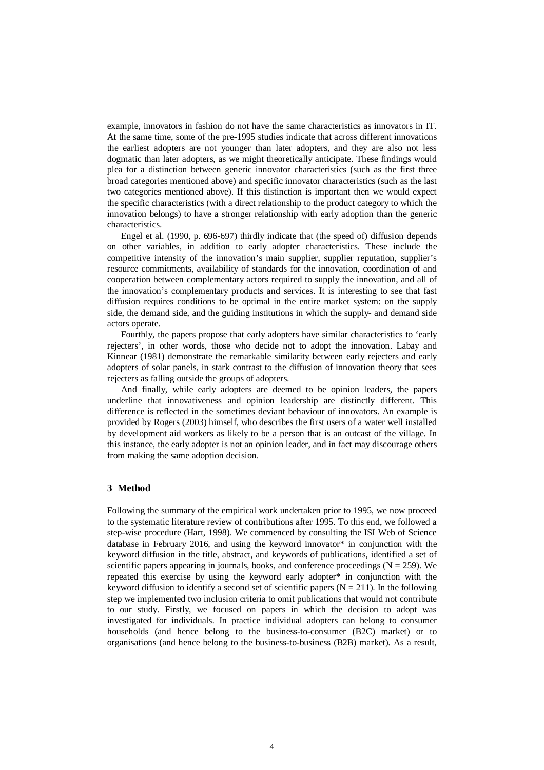example, innovators in fashion do not have the same characteristics as innovators in IT. At the same time, some of the pre-1995 studies indicate that across different innovations the earliest adopters are not younger than later adopters, and they are also not less dogmatic than later adopters, as we might theoretically anticipate. These findings would plea for a distinction between generic innovator characteristics (such as the first three broad categories mentioned above) and specific innovator characteristics (such as the last two categories mentioned above). If this distinction is important then we would expect the specific characteristics (with a direct relationship to the product category to which the innovation belongs) to have a stronger relationship with early adoption than the generic characteristics.

Engel et al. (1990, p. 696-697) thirdly indicate that (the speed of) diffusion depends on other variables, in addition to early adopter characteristics. These include the competitive intensity of the innovation's main supplier, supplier reputation, supplier's resource commitments, availability of standards for the innovation, coordination of and cooperation between complementary actors required to supply the innovation, and all of the innovation's complementary products and services. It is interesting to see that fast diffusion requires conditions to be optimal in the entire market system: on the supply side, the demand side, and the guiding institutions in which the supply- and demand side actors operate.

Fourthly, the papers propose that early adopters have similar characteristics to 'early rejecters', in other words, those who decide not to adopt the innovation. Labay and Kinnear (1981) demonstrate the remarkable similarity between early rejecters and early adopters of solar panels, in stark contrast to the diffusion of innovation theory that sees rejecters as falling outside the groups of adopters.

And finally, while early adopters are deemed to be opinion leaders, the papers underline that innovativeness and opinion leadership are distinctly different. This difference is reflected in the sometimes deviant behaviour of innovators. An example is provided by Rogers (2003) himself, who describes the first users of a water well installed by development aid workers as likely to be a person that is an outcast of the village. In this instance, the early adopter is not an opinion leader, and in fact may discourage others from making the same adoption decision.

#### **3 Method**

Following the summary of the empirical work undertaken prior to 1995, we now proceed to the systematic literature review of contributions after 1995. To this end, we followed a step-wise procedure (Hart, 1998). We commenced by consulting the ISI Web of Science database in February 2016, and using the keyword innovator\* in conjunction with the keyword diffusion in the title, abstract, and keywords of publications, identified a set of scientific papers appearing in journals, books, and conference proceedings  $(N = 259)$ . We repeated this exercise by using the keyword early adopter\* in conjunction with the keyword diffusion to identify a second set of scientific papers ( $N = 211$ ). In the following step we implemented two inclusion criteria to omit publications that would not contribute to our study. Firstly, we focused on papers in which the decision to adopt was investigated for individuals. In practice individual adopters can belong to consumer households (and hence belong to the business-to-consumer (B2C) market) or to organisations (and hence belong to the business-to-business (B2B) market). As a result,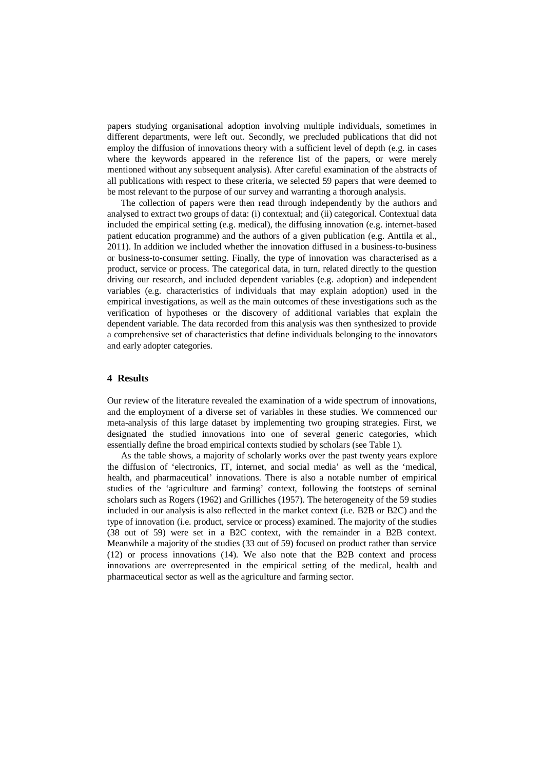papers studying organisational adoption involving multiple individuals, sometimes in different departments, were left out. Secondly, we precluded publications that did not employ the diffusion of innovations theory with a sufficient level of depth (e.g. in cases where the keywords appeared in the reference list of the papers, or were merely mentioned without any subsequent analysis). After careful examination of the abstracts of all publications with respect to these criteria, we selected 59 papers that were deemed to be most relevant to the purpose of our survey and warranting a thorough analysis.

The collection of papers were then read through independently by the authors and analysed to extract two groups of data: (i) contextual; and (ii) categorical. Contextual data included the empirical setting (e.g. medical), the diffusing innovation (e.g. internet-based patient education programme) and the authors of a given publication (e.g. Anttila et al., 2011). In addition we included whether the innovation diffused in a business-to-business or business-to-consumer setting. Finally, the type of innovation was characterised as a product, service or process. The categorical data, in turn, related directly to the question driving our research, and included dependent variables (e.g. adoption) and independent variables (e.g. characteristics of individuals that may explain adoption) used in the empirical investigations, as well as the main outcomes of these investigations such as the verification of hypotheses or the discovery of additional variables that explain the dependent variable. The data recorded from this analysis was then synthesized to provide a comprehensive set of characteristics that define individuals belonging to the innovators and early adopter categories.

#### **4 Results**

Our review of the literature revealed the examination of a wide spectrum of innovations, and the employment of a diverse set of variables in these studies. We commenced our meta-analysis of this large dataset by implementing two grouping strategies. First, we designated the studied innovations into one of several generic categories, which essentially define the broad empirical contexts studied by scholars (see Table 1).

As the table shows, a majority of scholarly works over the past twenty years explore the diffusion of 'electronics, IT, internet, and social media' as well as the 'medical, health, and pharmaceutical' innovations. There is also a notable number of empirical studies of the 'agriculture and farming' context, following the footsteps of seminal scholars such as Rogers (1962) and Grilliches (1957). The heterogeneity of the 59 studies included in our analysis is also reflected in the market context (i.e. B2B or B2C) and the type of innovation (i.e. product, service or process) examined. The majority of the studies (38 out of 59) were set in a B2C context, with the remainder in a B2B context. Meanwhile a majority of the studies (33 out of 59) focused on product rather than service (12) or process innovations (14). We also note that the B2B context and process innovations are overrepresented in the empirical setting of the medical, health and pharmaceutical sector as well as the agriculture and farming sector.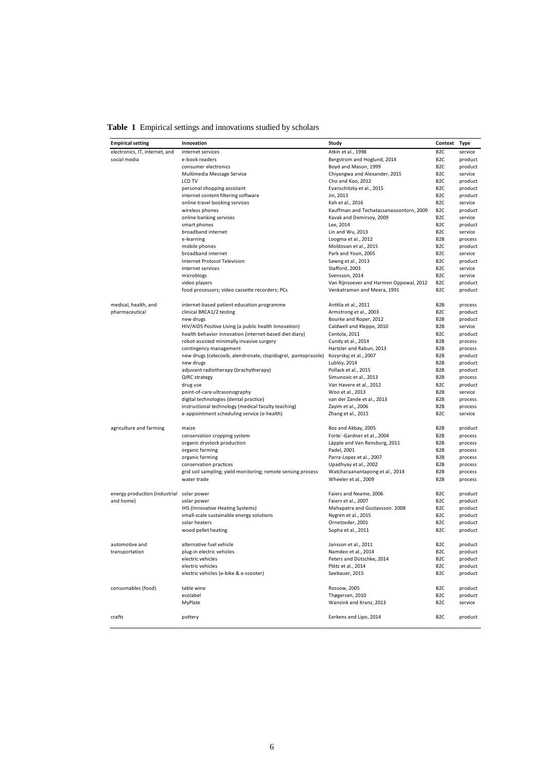|  |  |  |  |  | <b>Table 1</b> Empirical settings and innovations studied by scholars |  |  |  |
|--|--|--|--|--|-----------------------------------------------------------------------|--|--|--|
|--|--|--|--|--|-----------------------------------------------------------------------|--|--|--|

| <b>Empirical setting</b><br>electronics, IT, internet, and | Innovation<br>internet services                               | Study<br>Atkin et al., 1998                                            | Context<br>B <sub>2C</sub> | Type<br>service    |
|------------------------------------------------------------|---------------------------------------------------------------|------------------------------------------------------------------------|----------------------------|--------------------|
| social media                                               |                                                               | Bergstrom and Hoglund, 2014                                            |                            |                    |
|                                                            | e-book readers                                                |                                                                        | B <sub>2</sub> C           | product            |
|                                                            | consumer electronics                                          | Boyd and Mason, 1999                                                   | B <sub>2</sub> C           | product            |
|                                                            | Multimedia Message Service                                    | Chiyangwa and Alexander, 2015                                          | B <sub>2</sub> C           | service            |
|                                                            | LCD TV                                                        | Cho and Koo, 2012                                                      | B <sub>2</sub> C           | product            |
|                                                            | personal shopping assistant                                   | Evanschitzky et al., 2015                                              | B <sub>2</sub> C           | product            |
|                                                            | internet content filtering software                           | Jin, 2013                                                              | B <sub>2</sub> C           | product            |
|                                                            | online travel booking services                                | Kah et al., 2016                                                       | B <sub>2</sub> C           | service            |
|                                                            | wireless phones                                               | Kauffman and Techatassanasoontorn, 2009                                | B <sub>2</sub> C           | product            |
|                                                            | online banking services                                       | Kavak and Demirsoy, 2009                                               | B <sub>2</sub> C           | service            |
|                                                            | smart phones                                                  | Lee, 2014                                                              | B <sub>2C</sub>            | product            |
|                                                            | broadband internet                                            | Lin and Wu, 2013                                                       | B <sub>2</sub> C           | service            |
|                                                            | e-learning                                                    | Loogma et al., 2012                                                    | B <sub>2</sub> B           | process            |
|                                                            | mobile phones                                                 | Moldovan et al., 2015                                                  | B <sub>2</sub> C           | product            |
|                                                            | broadband internet                                            | Park and Yoon, 2005                                                    | B <sub>2</sub> C           | service            |
|                                                            | Internet Protocol Television                                  | Sawng et al., 2013                                                     | B <sub>2</sub> C           | product            |
|                                                            | internet services                                             | Stafford, 2003                                                         | B <sub>2</sub> C           | service            |
|                                                            | microblogs                                                    | Svensson, 2014                                                         | B <sub>2C</sub>            | service            |
|                                                            | video players                                                 |                                                                        | B <sub>2</sub> C           |                    |
|                                                            | food processors; video cassette recorders; PCs                | Van Rijnsoever and Harmen Oppewal, 2012<br>Venkatraman and Meera, 1991 | B <sub>2</sub> C           | product<br>product |
|                                                            |                                                               |                                                                        |                            |                    |
| medical, health, and                                       | internet-based patient education programme                    | Anttila et al., 2011                                                   | B <sub>2</sub> B           | process            |
| pharmaceutical                                             | clinical BRCA1/2 testing                                      | Armstrong et al., 2003                                                 | B <sub>2</sub> C           | product            |
|                                                            | new drugs                                                     | Bourke and Roper, 2012                                                 | B <sub>2</sub> B           | product            |
|                                                            | HIV/AIDS Positive Living (a public health innovation)         | Caldwell and Kleppe, 2010                                              | B <sub>2</sub> B           | service            |
|                                                            | health behavior innovation (internet-based diet diary)        | Centola, 2011                                                          | B <sub>2</sub> C           | product            |
|                                                            | robot-assisted minimally invasive surgery                     | Cundy et al., 2014                                                     | B <sub>2</sub> B           | process            |
|                                                            |                                                               |                                                                        |                            |                    |
|                                                            | contingency management                                        | Hartzler and Rabun, 2013                                               | B <sub>2</sub> B           | process            |
|                                                            | new drugs (celecoxib, alendronate, clopidogrel, pantoprazole) | Kozyrskyj et al., 2007                                                 | B <sub>2</sub> B           | product            |
|                                                            | new drugs                                                     | Lublóy, 2014                                                           | B <sub>2</sub> B           | product            |
|                                                            | adjuvant radiotherapy (brachytherapy)                         | Pollack et al., 2015                                                   | B <sub>2</sub> B           | product            |
|                                                            | QIRC strategy                                                 | Simunovic et al., 2013                                                 | B <sub>2</sub> B           | process            |
|                                                            | drug use                                                      | Van Havere et al., 2012                                                | B <sub>2</sub> C           | product            |
|                                                            | point-of-care ultrasonography                                 | Woo et al., 2013                                                       | B <sub>2</sub> B           | service            |
|                                                            | digital technologies (dental practice)                        | van der Zande et al., 2013                                             | B <sub>2</sub> B           | process            |
|                                                            | instructional technology (medical faculty teaching)           | Zayim et al., 2006                                                     | B <sub>2</sub> B           | process            |
|                                                            | e-appointment scheduling service (e-health)                   | Zhang et al., 2015                                                     | B <sub>2</sub> C           | service            |
| agriculture and farming                                    | maize                                                         | Boz and Akbay, 2005                                                    | B <sub>2</sub> B           | product            |
|                                                            | conservation cropping system                                  | Forte'-Gardner et al., 2004                                            | B <sub>2</sub> B           | process            |
|                                                            | organic drystock production                                   | Läpple and Van Rensburg, 2011                                          | B <sub>2</sub> B           | process            |
|                                                            |                                                               |                                                                        |                            |                    |
|                                                            | organic farming                                               | Padel, 2001                                                            | B <sub>2</sub> B           | process            |
|                                                            | organic farming                                               | Parra-Lopez et al., 2007                                               | B <sub>2</sub> B           | process            |
|                                                            | conservation practices                                        | Upadhyay et al., 2002                                                  | B <sub>2</sub> B           | process            |
|                                                            | grid soil sampling; yield monitoring; remote sensing process  | Watcharaanantapong et al., 2014                                        | B <sub>2</sub> B           | process            |
|                                                            | water trade                                                   | Wheeler et al., 2009                                                   | B <sub>2</sub> B           | process            |
| energy production (industrial solar power                  |                                                               | Faiers and Neame, 2006                                                 | B <sub>2</sub> C           | product            |
| and home)                                                  | solar power                                                   | Faiers et al., 2007                                                    | B <sub>2</sub> C           | product            |
|                                                            | IHS (Innovative Heating Systems)                              | Mahapatra and Gustavsson. 2008                                         | B <sub>2</sub> C           | product            |
|                                                            | small-scale sustainable energy solutions                      | Nygrén et al., 2015                                                    | B <sub>2</sub> C           | product            |
|                                                            | solar heaters                                                 | Ornetzeder, 2001                                                       | B <sub>2</sub> C           | product            |
|                                                            | wood pellet heating                                           | Sopha et al., 2011                                                     | B <sub>2</sub> C           | product            |
| automotive and                                             | alternative fuel vehicle                                      | Jansson et al., 2011                                                   | B <sub>2</sub> C           | product            |
|                                                            |                                                               |                                                                        | B <sub>2</sub> C           |                    |
| transportation                                             | plug-in electric vehicles                                     | Namdeo et al., 2014                                                    |                            | product            |
|                                                            | electric vehicles                                             | Peters and Dütschke, 2014                                              | B <sub>2</sub> C           | product            |
|                                                            | electric vehicles                                             | Plötz et al., 2014                                                     | B <sub>2</sub> C           | product            |
|                                                            | electric vehicles (e-bike & e-scooter)                        | Seebauer, 2015                                                         | B <sub>2</sub> C           | product            |
| consumables (food)                                         | table wine                                                    | Rossow, 2005                                                           | B <sub>2</sub> C           | product            |
|                                                            | ecolabel                                                      | Thøgersen, 2010                                                        | B <sub>2</sub> C           | product            |
|                                                            | MyPlate                                                       | Wansink and Kranz, 2013                                                | B <sub>2</sub> C           | service            |
|                                                            |                                                               |                                                                        |                            |                    |
| crafts                                                     | pottery                                                       | Eerkens and Lipo, 2014                                                 | B <sub>2</sub> C           | product            |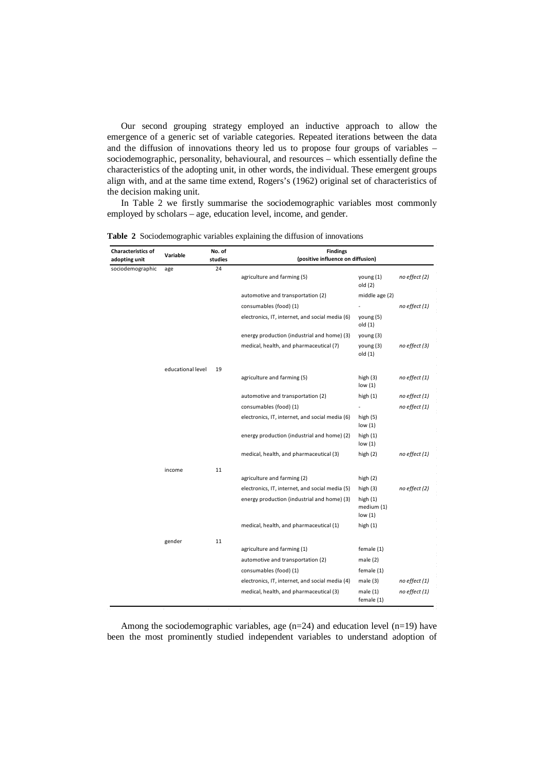Our second grouping strategy employed an inductive approach to allow the emergence of a generic set of variable categories. Repeated iterations between the data and the diffusion of innovations theory led us to propose four groups of variables – sociodemographic, personality, behavioural, and resources – which essentially define the characteristics of the adopting unit, in other words, the individual. These emergent groups align with, and at the same time extend, Rogers's (1962) original set of characteristics of the decision making unit.

In Table 2 we firstly summarise the sociodemographic variables most commonly employed by scholars – age, education level, income, and gender.

| <b>Characteristics of</b><br>adopting unit | Variable          | No. of<br>studies | <b>Findings</b><br>(positive influence on diffusion) |                                    |               |  |  |  |
|--------------------------------------------|-------------------|-------------------|------------------------------------------------------|------------------------------------|---------------|--|--|--|
| sociodemographic                           | age               | 24                |                                                      |                                    |               |  |  |  |
|                                            |                   |                   | agriculture and farming (5)                          | young (1)<br>old (2)               | no effect (2) |  |  |  |
|                                            |                   |                   | automotive and transportation (2)                    | middle age (2)                     |               |  |  |  |
|                                            |                   |                   | consumables (food) (1)                               |                                    | no effect (1) |  |  |  |
|                                            |                   |                   | electronics, IT, internet, and social media (6)      | young (5)<br>old(1)                |               |  |  |  |
|                                            |                   |                   | energy production (industrial and home) (3)          | young $(3)$                        |               |  |  |  |
|                                            |                   |                   | medical, health, and pharmaceutical (7)              | young (3)<br>old(1)                | no effect (3) |  |  |  |
|                                            | educational level | 19                |                                                      |                                    |               |  |  |  |
|                                            |                   |                   | agriculture and farming (5)                          | high $(3)$<br>low(1)               | no effect (1) |  |  |  |
|                                            |                   |                   | automotive and transportation (2)                    | high $(1)$                         | no effect (1) |  |  |  |
|                                            |                   |                   | consumables (food) (1)                               |                                    | no effect (1) |  |  |  |
|                                            |                   |                   | electronics, IT, internet, and social media (6)      | high $(5)$<br>low(1)               |               |  |  |  |
|                                            |                   |                   | energy production (industrial and home) (2)          | high $(1)$<br>low(1)               |               |  |  |  |
|                                            |                   |                   | medical, health, and pharmaceutical (3)              | high $(2)$                         | no effect (1) |  |  |  |
|                                            | income            | 11                |                                                      |                                    |               |  |  |  |
|                                            |                   |                   | agriculture and farming (2)                          | high $(2)$                         |               |  |  |  |
|                                            |                   |                   | electronics, IT, internet, and social media (5)      | high $(3)$                         | no effect (2) |  |  |  |
|                                            |                   |                   | energy production (industrial and home) (3)          | high $(1)$<br>medium (1)<br>low(1) |               |  |  |  |
|                                            |                   |                   | medical, health, and pharmaceutical (1)              | high $(1)$                         |               |  |  |  |
|                                            | gender            | 11                |                                                      |                                    |               |  |  |  |
|                                            |                   |                   | agriculture and farming (1)                          | female (1)                         |               |  |  |  |
|                                            |                   |                   | automotive and transportation (2)                    | male $(2)$                         |               |  |  |  |
|                                            |                   |                   | consumables (food) (1)                               | female (1)                         |               |  |  |  |
|                                            |                   |                   | electronics, IT, internet, and social media (4)      | male(3)                            | no effect (1) |  |  |  |
|                                            |                   |                   | medical, health, and pharmaceutical (3)              | male(1)<br>female (1)              | no effect (1) |  |  |  |

**Table 2** Sociodemographic variables explaining the diffusion of innovations

Among the sociodemographic variables, age  $(n=24)$  and education level  $(n=19)$  have been the most prominently studied independent variables to understand adoption of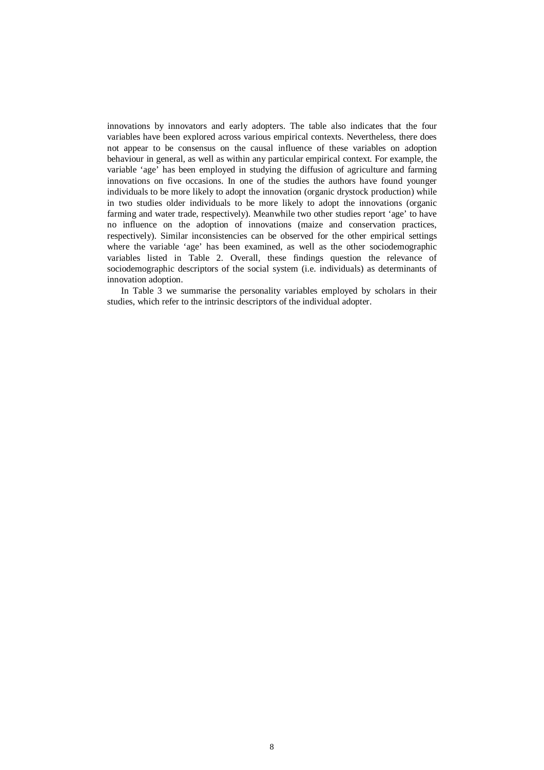innovations by innovators and early adopters. The table also indicates that the four variables have been explored across various empirical contexts. Nevertheless, there does not appear to be consensus on the causal influence of these variables on adoption behaviour in general, as well as within any particular empirical context. For example, the variable 'age' has been employed in studying the diffusion of agriculture and farming innovations on five occasions. In one of the studies the authors have found younger individuals to be more likely to adopt the innovation (organic drystock production) while in two studies older individuals to be more likely to adopt the innovations (organic farming and water trade, respectively). Meanwhile two other studies report 'age' to have no influence on the adoption of innovations (maize and conservation practices, respectively). Similar inconsistencies can be observed for the other empirical settings where the variable 'age' has been examined, as well as the other sociodemographic variables listed in Table 2. Overall, these findings question the relevance of sociodemographic descriptors of the social system (i.e. individuals) as determinants of innovation adoption.

In Table 3 we summarise the personality variables employed by scholars in their studies, which refer to the intrinsic descriptors of the individual adopter.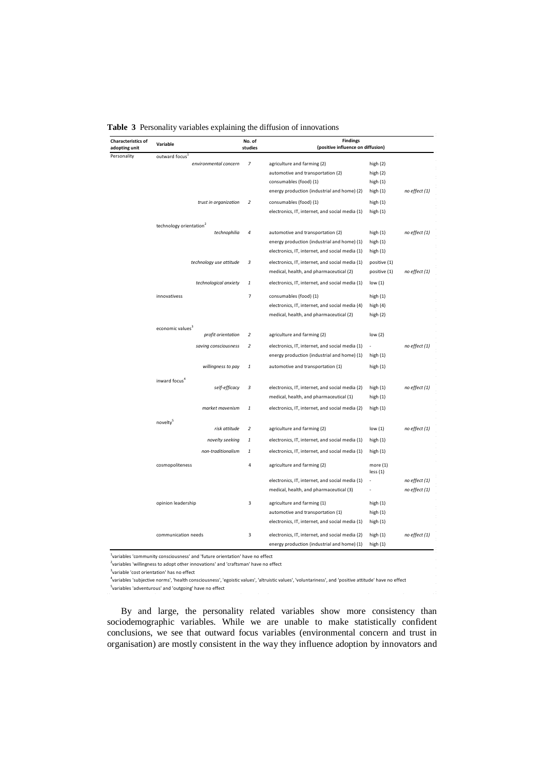|  | Table 3 Personality variables explaining the diffusion of innovations |  |  |  |  |  |  |  |
|--|-----------------------------------------------------------------------|--|--|--|--|--|--|--|
|--|-----------------------------------------------------------------------|--|--|--|--|--|--|--|

| <b>Characteristics of</b><br>adopting unit | Variable                                           | No. of<br>studies          | <b>Findings</b><br>(positive influence on diffusion) |                       |               |  |  |
|--------------------------------------------|----------------------------------------------------|----------------------------|------------------------------------------------------|-----------------------|---------------|--|--|
| Personality                                | outward focus <sup>1</sup>                         |                            |                                                      |                       |               |  |  |
|                                            | environmental concern                              | $\overline{7}$             | agriculture and farming (2)                          | high (2)              |               |  |  |
|                                            |                                                    |                            | automotive and transportation (2)                    | high (2)              |               |  |  |
|                                            |                                                    |                            | consumables (food) (1)                               | high $(1)$            | no effect (1) |  |  |
|                                            |                                                    |                            | energy production (industrial and home) (2)          | high (1)              |               |  |  |
|                                            | trust in organization                              | $\overline{2}$             | consumables (food) (1)                               | high $(1)$            |               |  |  |
|                                            |                                                    |                            | electronics, IT, internet, and social media (1)      | high (1)              |               |  |  |
|                                            | technology orientation <sup>2</sup>                |                            |                                                      |                       |               |  |  |
|                                            | technophilia                                       | $\it 4$                    | automotive and transportation (2)                    | high (1)              | no effect (1) |  |  |
|                                            |                                                    |                            | energy production (industrial and home) (1)          | high (1)              |               |  |  |
|                                            |                                                    |                            | electronics, IT, internet, and social media (1)      | high (1)              |               |  |  |
|                                            | technology use attitude                            | $\boldsymbol{\mathcal{Z}}$ | electronics, IT, internet, and social media (1)      | positive (1)          |               |  |  |
|                                            |                                                    |                            | medical, health, and pharmaceutical (2)              | positive (1)          | no effect (1) |  |  |
|                                            | technological anxiety                              | $\it 1$                    | electronics, IT, internet, and social media (1)      | low(1)                |               |  |  |
|                                            | innovativess                                       | $\overline{7}$             | consumables (food) (1)                               | high $(1)$            |               |  |  |
|                                            |                                                    |                            | electronics, IT, internet, and social media (4)      | high (4)              |               |  |  |
|                                            |                                                    |                            | medical, health, and pharmaceutical (2)              | high (2)              |               |  |  |
|                                            |                                                    |                            |                                                      |                       |               |  |  |
|                                            | economic values <sup>3</sup><br>profit orientation | $\boldsymbol{2}$           | agriculture and farming (2)                          | low $(2)$             |               |  |  |
|                                            | saving consciousness                               | $\overline{2}$             | electronics, IT, internet, and social media (1)      |                       | no effect (1) |  |  |
|                                            |                                                    |                            | energy production (industrial and home) (1)          | high (1)              |               |  |  |
|                                            | willingness to pay                                 | $\it 1$                    | automotive and transportation (1)                    | high (1)              |               |  |  |
|                                            | inward focus <sup>4</sup>                          |                            |                                                      |                       |               |  |  |
|                                            | self-efficacy                                      | $\boldsymbol{\mathcal{Z}}$ | electronics, IT, internet, and social media (2)      | high (1)              | no effect (1) |  |  |
|                                            |                                                    |                            | medical, health, and pharmaceutical (1)              | high $(1)$            |               |  |  |
|                                            | market mavenism                                    | $\it 1$                    | electronics, IT, internet, and social media (2)      |                       |               |  |  |
|                                            |                                                    |                            |                                                      | high (1)              |               |  |  |
|                                            | novelty <sup>5</sup>                               |                            |                                                      |                       |               |  |  |
|                                            | risk attitude                                      | $\overline{2}$             | agriculture and farming (2)                          | low(1)                | no effect (1) |  |  |
|                                            | novelty seeking                                    | 1                          | electronics, IT, internet, and social media (1)      | high $(1)$            |               |  |  |
|                                            | non-traditionalism                                 | $\mathbf{1}$               | electronics, IT, internet, and social media (1)      | high (1)              |               |  |  |
|                                            | cosmopoliteness                                    | 4                          | agriculture and farming (2)                          | more $(1)$<br>less(1) |               |  |  |
|                                            |                                                    |                            | electronics, IT, internet, and social media (1)      |                       | no effect (1) |  |  |
|                                            |                                                    |                            | medical, health, and pharmaceutical (3)              |                       | no effect (1) |  |  |
|                                            | opinion leadership                                 | 3                          | agriculture and farming (1)                          | high (1)              |               |  |  |
|                                            |                                                    |                            | automotive and transportation (1)                    | high (1)              |               |  |  |
|                                            |                                                    |                            | electronics, IT, internet, and social media (1)      | high (1)              |               |  |  |
|                                            |                                                    |                            |                                                      |                       |               |  |  |
|                                            | communication needs                                | 3                          | electronics, IT, internet, and social media (2)      | high (1)              | no effect (1) |  |  |
|                                            |                                                    |                            | energy production (industrial and home) (1)          | high (1)              |               |  |  |

<sup>1</sup>variables 'community consciousness' and 'future orientation' have no effect

<sup>2</sup>variables 'willingness to adopt other innovations' and 'craftsman' have no effect

3 variable 'cost orientation' has no effect

5 variables 'adventurous' and 'outgoing' have no effect 4 variables 'subjective norms', 'health consciousness', 'egoistic values', 'altruistic values', 'voluntariness', and 'positive attitude' have no effect

By and large, the personality related variables show more consistency than sociodemographic variables. While we are unable to make statistically confident conclusions, we see that outward focus variables (environmental concern and trust in organisation) are mostly consistent in the way they influence adoption by innovators and

 $\mathcal{L}^{\mathcal{I}}$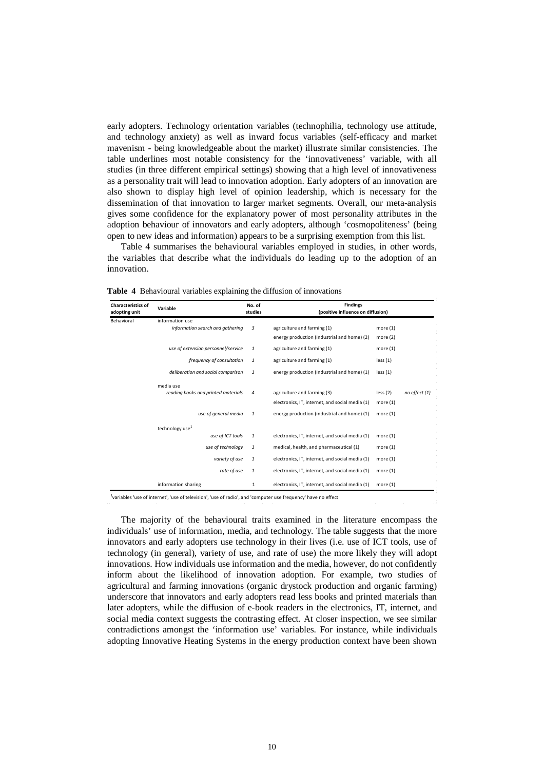early adopters. Technology orientation variables (technophilia, technology use attitude, and technology anxiety) as well as inward focus variables (self-efficacy and market mavenism - being knowledgeable about the market) illustrate similar consistencies. The table underlines most notable consistency for the 'innovativeness' variable, with all studies (in three different empirical settings) showing that a high level of innovativeness as a personality trait will lead to innovation adoption. Early adopters of an innovation are also shown to display high level of opinion leadership, which is necessary for the dissemination of that innovation to larger market segments. Overall, our meta-analysis gives some confidence for the explanatory power of most personality attributes in the adoption behaviour of innovators and early adopters, although 'cosmopoliteness' (being open to new ideas and information) appears to be a surprising exemption from this list.

Table 4 summarises the behavioural variables employed in studies, in other words, the variables that describe what the individuals do leading up to the adoption of an innovation.

| <b>Characteristics of</b> | Variable                                            | No. of<br>studies | <b>Findings</b><br>(positive influence on diffusion) |            |               |  |  |
|---------------------------|-----------------------------------------------------|-------------------|------------------------------------------------------|------------|---------------|--|--|
| adopting unit             |                                                     |                   |                                                      |            |               |  |  |
| Behavioral                | information use<br>information search and gathering | 3                 | agriculture and farming (1)                          | more $(1)$ |               |  |  |
|                           |                                                     |                   | energy production (industrial and home) (2)          | more $(2)$ |               |  |  |
|                           | use of extension personnel/service                  | 1                 | agriculture and farming (1)                          | more $(1)$ |               |  |  |
|                           | frequency of consultation                           | 1                 | agriculture and farming (1)                          | less(1)    |               |  |  |
|                           | deliberation and social comparison                  | $\mathbf{1}$      | energy production (industrial and home) (1)          | less(1)    |               |  |  |
|                           | media use<br>reading books and printed materials    | 4                 | agriculture and farming (3)                          | $less (2)$ | no effect (1) |  |  |
|                           |                                                     |                   | electronics, IT, internet, and social media (1)      | more $(1)$ |               |  |  |
|                           | use of general media                                | 1                 | energy production (industrial and home) (1)          | more $(1)$ |               |  |  |
|                           | technology use <sup>1</sup>                         |                   |                                                      |            |               |  |  |
|                           | use of ICT tools                                    | $\mathbf{1}$      | electronics, IT, internet, and social media (1)      | more $(1)$ |               |  |  |
|                           | use of technology                                   | 1                 | medical, health, and pharmaceutical (1)              | more $(1)$ |               |  |  |
|                           | variety of use                                      | $\it 1$           | electronics, IT, internet, and social media (1)      | more $(1)$ |               |  |  |
|                           | rate of use                                         | 1                 | electronics, IT, internet, and social media (1)      | more $(1)$ |               |  |  |
|                           | information sharing                                 | 1                 | electronics, IT, internet, and social media (1)      | more $(1)$ |               |  |  |

**Table 4** Behavioural variables explaining the diffusion of innovations

<sup>1</sup>variables 'use of internet', 'use of television', 'use of radio', and 'computer use frequency' have no effect

The majority of the behavioural traits examined in the literature encompass the individuals' use of information, media, and technology. The table suggests that the more innovators and early adopters use technology in their lives (i.e. use of ICT tools, use of technology (in general), variety of use, and rate of use) the more likely they will adopt innovations. How individuals use information and the media, however, do not confidently inform about the likelihood of innovation adoption. For example, two studies of agricultural and farming innovations (organic drystock production and organic farming) underscore that innovators and early adopters read less books and printed materials than later adopters, while the diffusion of e-book readers in the electronics, IT, internet, and social media context suggests the contrasting effect. At closer inspection, we see similar contradictions amongst the 'information use' variables. For instance, while individuals adopting Innovative Heating Systems in the energy production context have been shown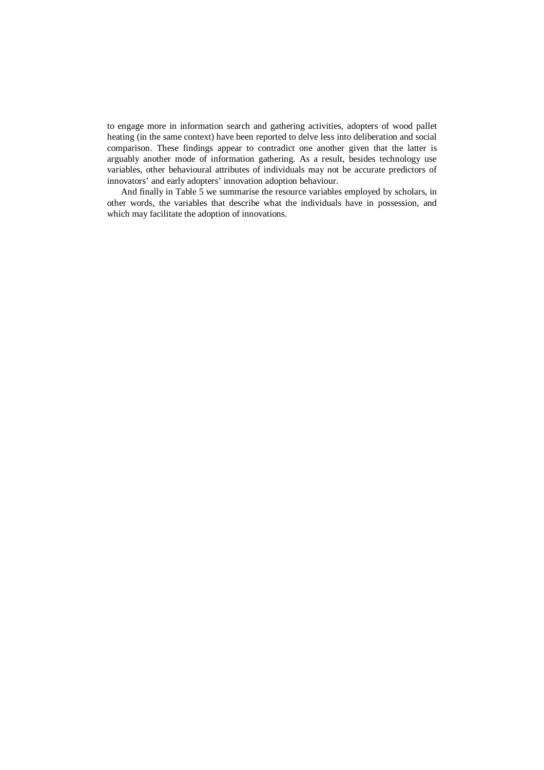to engage more in information search and gathering activities, adopters of wood pallet heating (in the same context) have been reported to delve less into deliberation and social comparison. These findings appear to contradict one another given that the latter is arguably another mode of information gathering. As a result, besides technology use variables, other behavioural attributes of individuals may not be accurate predictors of innovators' and early adopters' innovation adoption behaviour.

And finally in Table 5 we summarise the resource variables employed by scholars, in other words, the variables that describe what the individuals have in possession, and which may facilitate the adoption of innovations.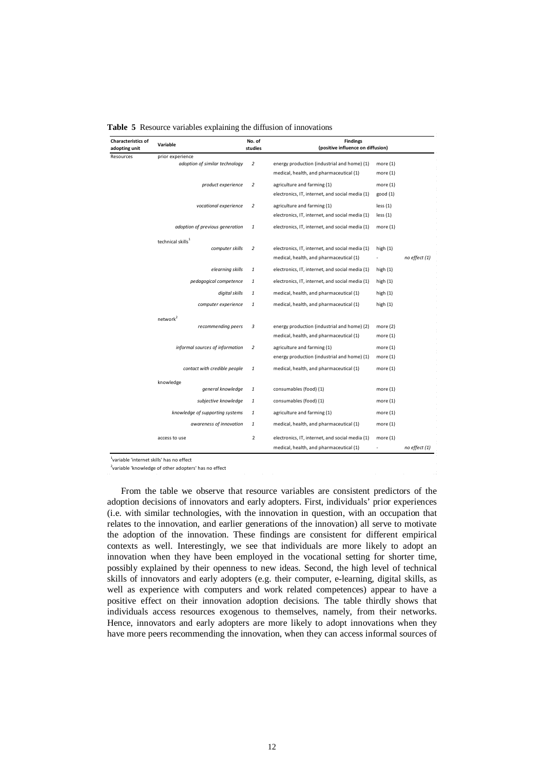|  |  |  |  |  |  |  |  | Table 5 Resource variables explaining the diffusion of innovations |
|--|--|--|--|--|--|--|--|--------------------------------------------------------------------|
|--|--|--|--|--|--|--|--|--------------------------------------------------------------------|

| <b>Characteristics of</b><br>adopting unit | Variable                                           | No. of<br>studies | <b>Findings</b><br>(positive influence on diffusion)                                       |                          |               |  |  |
|--------------------------------------------|----------------------------------------------------|-------------------|--------------------------------------------------------------------------------------------|--------------------------|---------------|--|--|
| Resources                                  | prior experience<br>adoption of similar technology | $\overline{2}$    | energy production (industrial and home) (1)<br>medical, health, and pharmaceutical (1)     | more $(1)$<br>more $(1)$ |               |  |  |
|                                            | product experience                                 | $\overline{2}$    | agriculture and farming (1)<br>electronics, IT, internet, and social media (1)             | more $(1)$<br>good(1)    |               |  |  |
|                                            | vocational experience                              | $\overline{2}$    | agriculture and farming (1)<br>electronics, IT, internet, and social media (1)             | less(1)<br>less(1)       |               |  |  |
|                                            | adoption of previous generation                    | $\it 1$           | electronics, IT, internet, and social media (1)                                            | more $(1)$               |               |  |  |
|                                            | technical skills <sup>1</sup><br>computer skills   | $\overline{2}$    | electronics, IT, internet, and social media (1)<br>medical, health, and pharmaceutical (1) | high $(1)$               | no effect (1) |  |  |
|                                            | elearning skills                                   | 1                 | electronics, IT, internet, and social media (1)                                            | high $(1)$               |               |  |  |
|                                            | pedagogical competence                             | 1                 | electronics, IT, internet, and social media (1)                                            | high $(1)$               |               |  |  |
|                                            | digital skills                                     | 1                 | medical, health, and pharmaceutical (1)                                                    | high $(1)$               |               |  |  |
|                                            | computer experience                                | 1                 | medical, health, and pharmaceutical (1)                                                    | high $(1)$               |               |  |  |
|                                            | network <sup>2</sup><br>recommending peers         | 3                 | energy production (industrial and home) (2)<br>medical, health, and pharmaceutical (1)     | more $(2)$<br>more $(1)$ |               |  |  |
|                                            | informal sources of information                    | $\overline{2}$    | agriculture and farming (1)<br>energy production (industrial and home) (1)                 | more $(1)$<br>more $(1)$ |               |  |  |
|                                            | contact with credible people                       | $\it 1$           | medical, health, and pharmaceutical (1)                                                    | more $(1)$               |               |  |  |
|                                            | knowledge<br>general knowledge                     | 1                 | consumables (food) (1)                                                                     | more $(1)$               |               |  |  |
|                                            | subjective knowledge                               | 1                 | consumables (food) (1)                                                                     | more $(1)$               |               |  |  |
|                                            | knowledge of supporting systems                    | $\mathbf{1}$      | agriculture and farming (1)                                                                | more $(1)$               |               |  |  |
|                                            | awareness of innovation                            | 1                 | medical, health, and pharmaceutical (1)                                                    | more $(1)$               |               |  |  |
|                                            | access to use                                      | $\overline{2}$    | electronics, IT, internet, and social media (1)<br>medical, health, and pharmaceutical (1) | more $(1)$               | no effect (1) |  |  |

1 variable 'internet skills' has no effect

<sup>2</sup>variable 'knowledge of other adopters' has no effect

From the table we observe that resource variables are consistent predictors of the adoption decisions of innovators and early adopters. First, individuals' prior experiences (i.e. with similar technologies, with the innovation in question, with an occupation that relates to the innovation, and earlier generations of the innovation) all serve to motivate the adoption of the innovation. These findings are consistent for different empirical contexts as well. Interestingly, we see that individuals are more likely to adopt an innovation when they have been employed in the vocational setting for shorter time, possibly explained by their openness to new ideas. Second, the high level of technical skills of innovators and early adopters (e.g. their computer, e-learning, digital skills, as well as experience with computers and work related competences) appear to have a positive effect on their innovation adoption decisions. The table thirdly shows that individuals access resources exogenous to themselves, namely, from their networks. Hence, innovators and early adopters are more likely to adopt innovations when they have more peers recommending the innovation, when they can access informal sources of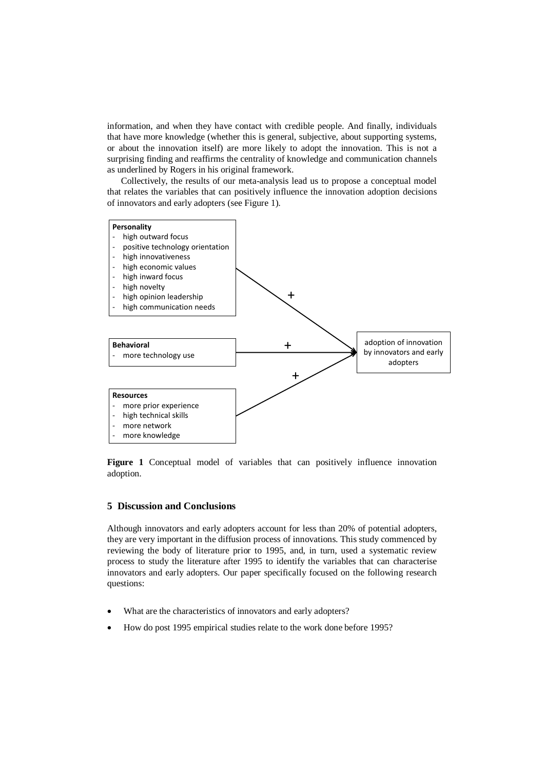information, and when they have contact with credible people. And finally, individuals that have more knowledge (whether this is general, subjective, about supporting systems, or about the innovation itself) are more likely to adopt the innovation. This is not a surprising finding and reaffirms the centrality of knowledge and communication channels as underlined by Rogers in his original framework.

Collectively, the results of our meta-analysis lead us to propose a conceptual model that relates the variables that can positively influence the innovation adoption decisions of innovators and early adopters (see Figure 1).



**Figure 1** Conceptual model of variables that can positively influence innovation adoption.

#### **5 Discussion and Conclusions**

Although innovators and early adopters account for less than 20% of potential adopters, they are very important in the diffusion process of innovations. This study commenced by reviewing the body of literature prior to 1995, and, in turn, used a systematic review process to study the literature after 1995 to identify the variables that can characterise innovators and early adopters. Our paper specifically focused on the following research questions:

- What are the characteristics of innovators and early adopters?
- How do post 1995 empirical studies relate to the work done before 1995?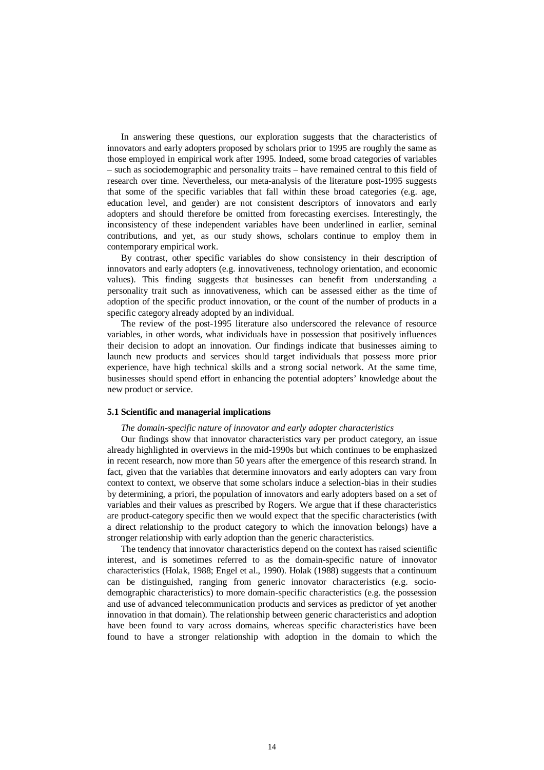In answering these questions, our exploration suggests that the characteristics of innovators and early adopters proposed by scholars prior to 1995 are roughly the same as those employed in empirical work after 1995. Indeed, some broad categories of variables – such as sociodemographic and personality traits – have remained central to this field of research over time. Nevertheless, our meta-analysis of the literature post-1995 suggests that some of the specific variables that fall within these broad categories (e.g. age, education level, and gender) are not consistent descriptors of innovators and early adopters and should therefore be omitted from forecasting exercises. Interestingly, the inconsistency of these independent variables have been underlined in earlier, seminal contributions, and yet, as our study shows, scholars continue to employ them in contemporary empirical work.

By contrast, other specific variables do show consistency in their description of innovators and early adopters (e.g. innovativeness, technology orientation, and economic values). This finding suggests that businesses can benefit from understanding a personality trait such as innovativeness, which can be assessed either as the time of adoption of the specific product innovation, or the count of the number of products in a specific category already adopted by an individual.

The review of the post-1995 literature also underscored the relevance of resource variables, in other words, what individuals have in possession that positively influences their decision to adopt an innovation. Our findings indicate that businesses aiming to launch new products and services should target individuals that possess more prior experience, have high technical skills and a strong social network. At the same time, businesses should spend effort in enhancing the potential adopters' knowledge about the new product or service.

#### **5.1 Scientific and managerial implications**

#### *The domain-specific nature of innovator and early adopter characteristics*

Our findings show that innovator characteristics vary per product category, an issue already highlighted in overviews in the mid-1990s but which continues to be emphasized in recent research, now more than 50 years after the emergence of this research strand. In fact, given that the variables that determine innovators and early adopters can vary from context to context, we observe that some scholars induce a selection-bias in their studies by determining, a priori, the population of innovators and early adopters based on a set of variables and their values as prescribed by Rogers. We argue that if these characteristics are product-category specific then we would expect that the specific characteristics (with a direct relationship to the product category to which the innovation belongs) have a stronger relationship with early adoption than the generic characteristics.

The tendency that innovator characteristics depend on the context has raised scientific interest, and is sometimes referred to as the domain-specific nature of innovator characteristics (Holak, 1988; Engel et al., 1990). Holak (1988) suggests that a continuum can be distinguished, ranging from generic innovator characteristics (e.g. sociodemographic characteristics) to more domain-specific characteristics (e.g. the possession and use of advanced telecommunication products and services as predictor of yet another innovation in that domain). The relationship between generic characteristics and adoption have been found to vary across domains, whereas specific characteristics have been found to have a stronger relationship with adoption in the domain to which the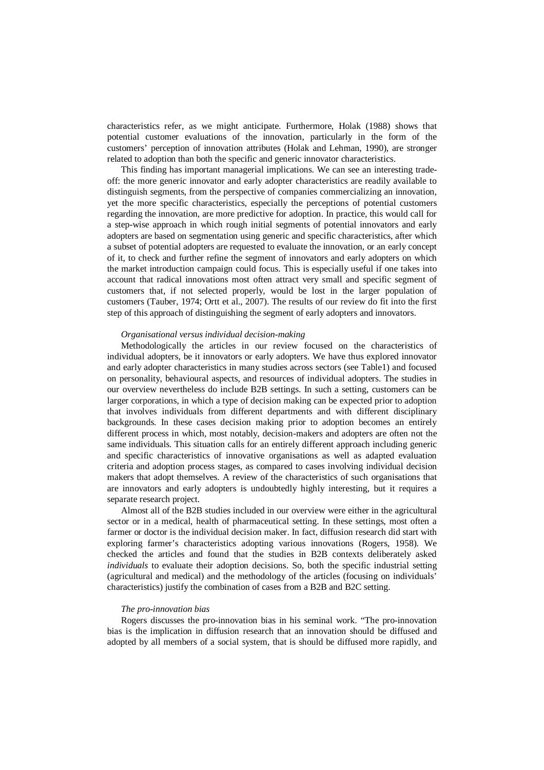characteristics refer, as we might anticipate. Furthermore, Holak (1988) shows that potential customer evaluations of the innovation, particularly in the form of the customers' perception of innovation attributes (Holak and Lehman, 1990), are stronger related to adoption than both the specific and generic innovator characteristics.

This finding has important managerial implications. We can see an interesting tradeoff: the more generic innovator and early adopter characteristics are readily available to distinguish segments, from the perspective of companies commercializing an innovation, yet the more specific characteristics, especially the perceptions of potential customers regarding the innovation, are more predictive for adoption. In practice, this would call for a step-wise approach in which rough initial segments of potential innovators and early adopters are based on segmentation using generic and specific characteristics, after which a subset of potential adopters are requested to evaluate the innovation, or an early concept of it, to check and further refine the segment of innovators and early adopters on which the market introduction campaign could focus. This is especially useful if one takes into account that radical innovations most often attract very small and specific segment of customers that, if not selected properly, would be lost in the larger population of customers (Tauber, 1974; Ortt et al., 2007). The results of our review do fit into the first step of this approach of distinguishing the segment of early adopters and innovators.

#### *Organisational versus individual decision-making*

Methodologically the articles in our review focused on the characteristics of individual adopters, be it innovators or early adopters. We have thus explored innovator and early adopter characteristics in many studies across sectors (see Table1) and focused on personality, behavioural aspects, and resources of individual adopters. The studies in our overview nevertheless do include B2B settings. In such a setting, customers can be larger corporations, in which a type of decision making can be expected prior to adoption that involves individuals from different departments and with different disciplinary backgrounds. In these cases decision making prior to adoption becomes an entirely different process in which, most notably, decision-makers and adopters are often not the same individuals. This situation calls for an entirely different approach including generic and specific characteristics of innovative organisations as well as adapted evaluation criteria and adoption process stages, as compared to cases involving individual decision makers that adopt themselves. A review of the characteristics of such organisations that are innovators and early adopters is undoubtedly highly interesting, but it requires a separate research project.

Almost all of the B2B studies included in our overview were either in the agricultural sector or in a medical, health of pharmaceutical setting. In these settings, most often a farmer or doctor is the individual decision maker. In fact, diffusion research did start with exploring farmer's characteristics adopting various innovations (Rogers, 1958). We checked the articles and found that the studies in B2B contexts deliberately asked *individuals* to evaluate their adoption decisions. So, both the specific industrial setting (agricultural and medical) and the methodology of the articles (focusing on individuals' characteristics) justify the combination of cases from a B2B and B2C setting.

#### *The pro-innovation bias*

Rogers discusses the pro-innovation bias in his seminal work. "The pro-innovation bias is the implication in diffusion research that an innovation should be diffused and adopted by all members of a social system, that is should be diffused more rapidly, and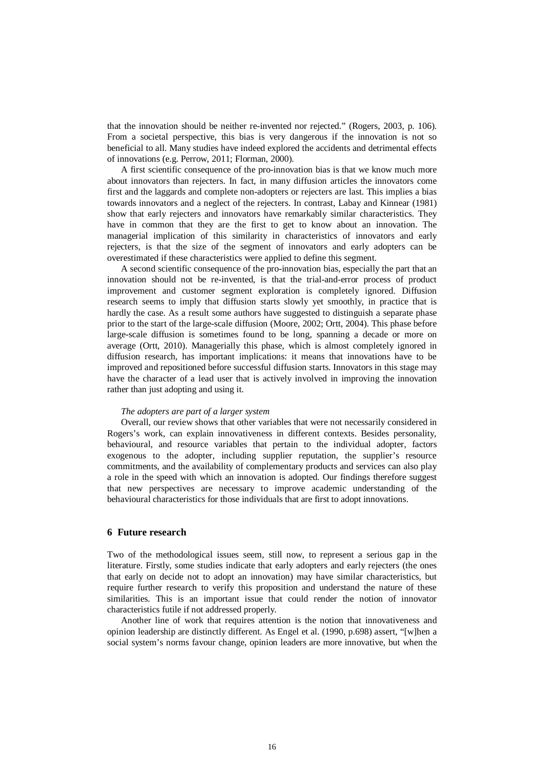that the innovation should be neither re-invented nor rejected." (Rogers, 2003, p. 106). From a societal perspective, this bias is very dangerous if the innovation is not so beneficial to all. Many studies have indeed explored the accidents and detrimental effects of innovations (e.g. Perrow, 2011; Florman, 2000).

A first scientific consequence of the pro-innovation bias is that we know much more about innovators than rejecters. In fact, in many diffusion articles the innovators come first and the laggards and complete non-adopters or rejecters are last. This implies a bias towards innovators and a neglect of the rejecters. In contrast, Labay and Kinnear (1981) show that early rejecters and innovators have remarkably similar characteristics. They have in common that they are the first to get to know about an innovation. The managerial implication of this similarity in characteristics of innovators and early rejecters, is that the size of the segment of innovators and early adopters can be overestimated if these characteristics were applied to define this segment.

A second scientific consequence of the pro-innovation bias, especially the part that an innovation should not be re-invented, is that the trial-and-error process of product improvement and customer segment exploration is completely ignored. Diffusion research seems to imply that diffusion starts slowly yet smoothly, in practice that is hardly the case. As a result some authors have suggested to distinguish a separate phase prior to the start of the large-scale diffusion (Moore, 2002; Ortt, 2004). This phase before large-scale diffusion is sometimes found to be long, spanning a decade or more on average (Ortt, 2010). Managerially this phase, which is almost completely ignored in diffusion research, has important implications: it means that innovations have to be improved and repositioned before successful diffusion starts. Innovators in this stage may have the character of a lead user that is actively involved in improving the innovation rather than just adopting and using it.

#### *The adopters are part of a larger system*

Overall, our review shows that other variables that were not necessarily considered in Rogers's work, can explain innovativeness in different contexts. Besides personality, behavioural, and resource variables that pertain to the individual adopter, factors exogenous to the adopter, including supplier reputation, the supplier's resource commitments, and the availability of complementary products and services can also play a role in the speed with which an innovation is adopted. Our findings therefore suggest that new perspectives are necessary to improve academic understanding of the behavioural characteristics for those individuals that are first to adopt innovations.

#### **6 Future research**

Two of the methodological issues seem, still now, to represent a serious gap in the literature. Firstly, some studies indicate that early adopters and early rejecters (the ones that early on decide not to adopt an innovation) may have similar characteristics, but require further research to verify this proposition and understand the nature of these similarities. This is an important issue that could render the notion of innovator characteristics futile if not addressed properly.

Another line of work that requires attention is the notion that innovativeness and opinion leadership are distinctly different. As Engel et al. (1990, p.698) assert, "[w]hen a social system's norms favour change, opinion leaders are more innovative, but when the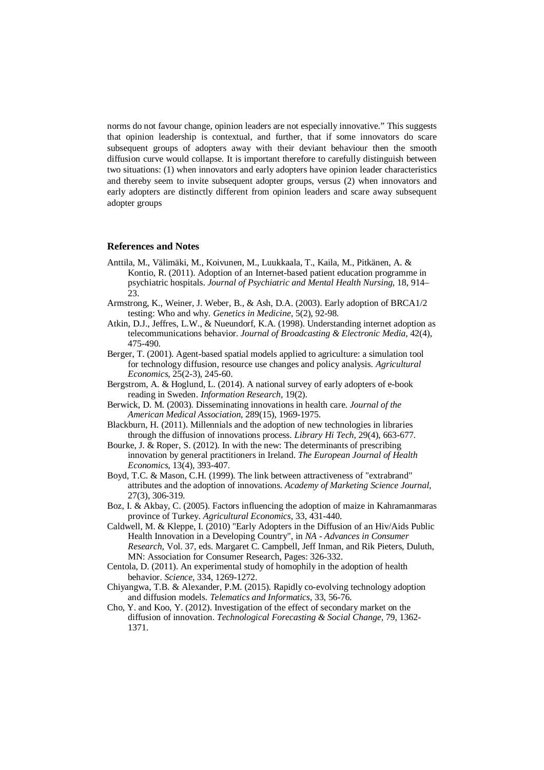norms do not favour change, opinion leaders are not especially innovative." This suggests that opinion leadership is contextual, and further, that if some innovators do scare subsequent groups of adopters away with their deviant behaviour then the smooth diffusion curve would collapse. It is important therefore to carefully distinguish between two situations: (1) when innovators and early adopters have opinion leader characteristics and thereby seem to invite subsequent adopter groups, versus (2) when innovators and early adopters are distinctly different from opinion leaders and scare away subsequent adopter groups

#### **References and Notes**

- Anttila, M., Välimäki, M., Koivunen, M., Luukkaala, T., Kaila, M., Pitkänen, A. & Kontio, R. (2011). Adoption of an Internet-based patient education programme in psychiatric hospitals. *Journal of Psychiatric and Mental Health Nursing*, 18, 914– 23.
- Armstrong, K., Weiner, J. Weber, B., & Ash, D.A. (2003). Early adoption of BRCA1/2 testing: Who and why. *Genetics in Medicine,* 5(2), 92-98.
- Atkin, D.J., Jeffres, L.W., & Nueundorf, K.A. (1998). Understanding internet adoption as telecommunications behavior. *Journal of Broadcasting & Electronic Media,* 42(4), 475-490.
- Berger, T. (2001). Agent-based spatial models applied to agriculture: a simulation tool for technology diffusion, resource use changes and policy analysis. *Agricultural Economics*, 25(2-3), 245-60.
- Bergstrom, A. & Hoglund, L. (2014). A national survey of early adopters of e-book reading in Sweden. *Information Research,* 19(2).
- Berwick, D. M. (2003). Disseminating innovations in health care. *Journal of the American Medical Association*, 289(15), 1969-1975.
- Blackburn, H. (2011). Millennials and the adoption of new technologies in libraries through the diffusion of innovations process. *Library Hi Tech*, 29(4), 663-677.
- Bourke, J. & Roper, S. (2012). In with the new: The determinants of prescribing innovation by general practitioners in Ireland. *The European Journal of Health Economics,* 13(4), 393-407.
- Boyd, T.C. & Mason, C.H. (1999). The link between attractiveness of "extrabrand" attributes and the adoption of innovations. *Academy of Marketing Science Journal,* 27(3), 306-319.
- Boz, I. & Akbay, C. (2005). Factors influencing the adoption of maize in Kahramanmaras province of Turkey. *Agricultural Economics,* 33, 431-440.
- Caldwell, M. & Kleppe, I. (2010) "Early Adopters in the Diffusion of an Hiv/Aids Public Health Innovation in a Developing Country", in *NA - Advances in Consumer Research,* Vol. 37, eds. Margaret C. Campbell, Jeff Inman, and Rik Pieters, Duluth, MN: Association for Consumer Research, Pages: 326-332.
- Centola, D. (2011). An experimental study of homophily in the adoption of health behavior. *Science,* 334, 1269-1272.
- Chiyangwa, T.B. & Alexander, P.M. (2015). Rapidly co-evolving technology adoption and diffusion models. *Telematics and Informatics,* 33, 56-76.
- Cho, Y. and Koo, Y. (2012). Investigation of the effect of secondary market on the diffusion of innovation. *Technological Forecasting & Social Change,* 79, 1362- 1371.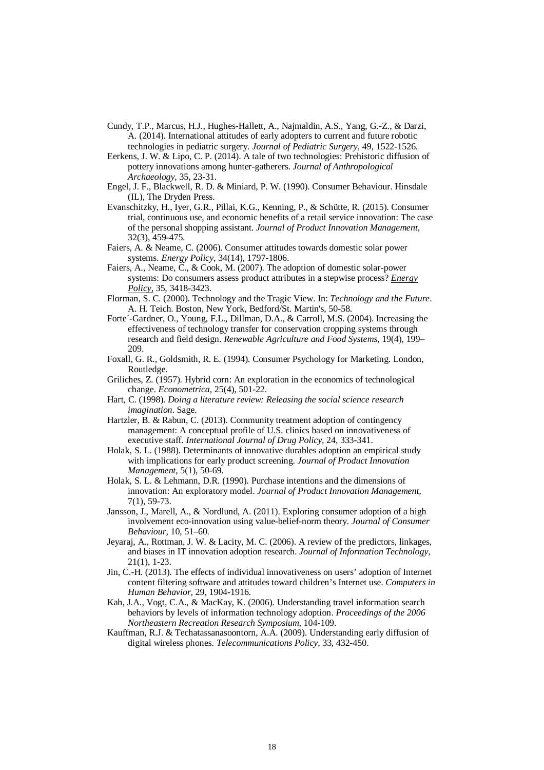- Cundy, T.P., Marcus, H.J., Hughes-Hallett, A., Najmaldin, A.S., Yang, G.-Z., & Darzi, A. (2014). International attitudes of early adopters to current and future robotic technologies in pediatric surgery. *Journal of Pediatric Surgery,* 49, 1522-1526.
- Eerkens, J. W. & Lipo, C. P. (2014). A tale of two technologies: Prehistoric diffusion of pottery innovations among hunter-gatherers. *Journal of Anthropological Archaeology*, 35, 23-31.
- Engel, J. F., Blackwell, R. D. & Miniard, P. W. (1990). Consumer Behaviour. Hinsdale (IL), The Dryden Press.
- Evanschitzky, H., Iyer, G.R., Pillai, K.G., Kenning, P., & Schütte, R. (2015). Consumer trial, continuous use, and economic benefits of a retail service innovation: The case of the personal shopping assistant. *Journal of Product Innovation Management,* 32(3), 459-475.
- Faiers, A. & Neame, C. (2006). Consumer attitudes towards domestic solar power systems. *Energy Policy*, 34(14), 1797-1806.
- Faiers, A., Neame, C., & Cook, M. (2007). The adoption of domestic solar-power systems: Do consumers assess product attributes in a stepwise process? *Energy Policy,* 35, 3418-3423.
- Florman, S. C. (2000). Technology and the Tragic View. In: *Technology and the Future*. A. H. Teich. Boston, New York, Bedford/St. Martin's, 50-58.
- Forte´-Gardner, O., Young, F.L., Dillman, D.A., & Carroll, M.S. (2004). Increasing the effectiveness of technology transfer for conservation cropping systems through research and field design. *Renewable Agriculture and Food Systems,* 19(4), 199– 209.
- Foxall, G. R., Goldsmith, R. E. (1994). Consumer Psychology for Marketing. London, Routledge.
- Griliches, Z. (1957). Hybrid corn: An exploration in the economics of technological change. *Econometrica*, 25(4), 501-22.
- Hart, C. (1998). *Doing a literature review: Releasing the social science research imagination*. Sage.
- Hartzler, B. & Rabun, C. (2013). Community treatment adoption of contingency management: A conceptual profile of U.S. clinics based on innovativeness of executive staff. *International Journal of Drug Policy,* 24, 333-341.
- Holak, S. L. (1988). Determinants of innovative durables adoption an empirical study with implications for early product screening. *Journal of Product Innovation Management,* 5(1), 50-69.
- Holak, S. L. & Lehmann, D.R. (1990). Purchase intentions and the dimensions of innovation: An exploratory model. *Journal of Product Innovation Management,* 7(1), 59-73.
- Jansson, J., Marell, A., & Nordlund, A. (2011). Exploring consumer adoption of a high involvement eco-innovation using value-belief-norm theory. *Journal of Consumer Behaviour,* 10, 51–60.
- Jeyaraj, A., Rottman, J. W. & Lacity, M. C. (2006). A review of the predictors, linkages, and biases in IT innovation adoption research. *Journal of Information Technology*, 21(1), 1-23.
- Jin, C.-H. (2013). The effects of individual innovativeness on users' adoption of Internet content filtering software and attitudes toward children's Internet use. *Computers in Human Behavior,* 29, 1904-1916.
- Kah, J.A., Vogt, C.A., & MacKay, K. (2006). Understanding travel information search behaviors by levels of information technology adoption. *Proceedings of the 2006 Northeastern Recreation Research Symposium,* 104-109.
- Kauffman, R.J. & Techatassanasoontorn, A.A. (2009). Understanding early diffusion of digital wireless phones. *Telecommunications Policy,* 33, 432-450.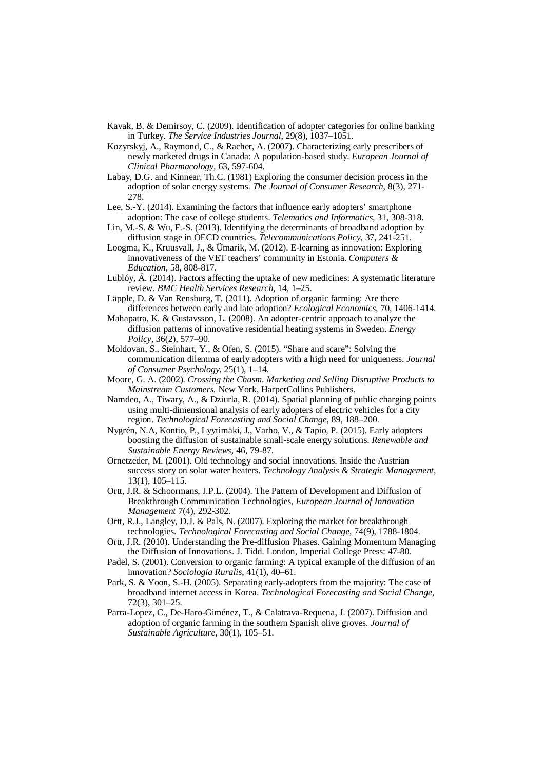- Kavak, B. & Demirsoy, C. (2009). Identification of adopter categories for online banking in Turkey. *The Service Industries Journal,* 29(8), 1037–1051.
- Kozyrskyj, A., Raymond, C., & Racher, A. (2007). Characterizing early prescribers of newly marketed drugs in Canada: A population-based study. *European Journal of Clinical Pharmacology,* 63, 597-604.
- Labay, D.G. and Kinnear, Th.C. (1981) Exploring the consumer decision process in the adoption of solar energy systems. *The Journal of Consumer Research*, 8(3), 271- 278.
- Lee, S.-Y. (2014). Examining the factors that influence early adopters' smartphone adoption: The case of college students. *Telematics and Informatics,* 31, 308-318.
- Lin, M.-S. & Wu, F.-S. (2013). Identifying the determinants of broadband adoption by diffusion stage in OECD countries. *Telecommunications Policy,* 37, 241-251.
- Loogma, K., Kruusvall, J., & Ümarik, M. (2012). E-learning as innovation: Exploring innovativeness of the VET teachers' community in Estonia. *Computers & Education,* 58, 808-817.
- Lublóy, Á. (2014). Factors affecting the uptake of new medicines: A systematic literature review. *BMC Health Services Research,* 14, 1–25.
- Läpple, D. & Van Rensburg, T. (2011). Adoption of organic farming: Are there differences between early and late adoption? *Ecological Economics,* 70, 1406-1414.
- Mahapatra, K. & Gustavsson, L. (2008). An adopter-centric approach to analyze the diffusion patterns of innovative residential heating systems in Sweden. *Energy Policy,* 36(2), 577–90.
- Moldovan, S., Steinhart, Y., & Ofen, S. (2015). "Share and scare": Solving the communication dilemma of early adopters with a high need for uniqueness. *Journal of Consumer Psychology,* 25(1), 1–14.
- Moore, G. A. (2002). *Crossing the Chasm. Marketing and Selling Disruptive Products to Mainstream Customers.* New York, HarperCollins Publishers.
- Namdeo, A., Tiwary, A., & Dziurla, R. (2014). Spatial planning of public charging points using multi-dimensional analysis of early adopters of electric vehicles for a city region. *Technological Forecasting and Social Change,* 89, 188–200.
- Nygrén, N.A, Kontio, P., Lyytimäki, J., Varho, V., & Tapio, P. (2015). Early adopters boosting the diffusion of sustainable small-scale energy solutions. *Renewable and Sustainable Energy Reviews,* 46, 79-87.
- Ornetzeder, M. (2001). Old technology and social innovations. Inside the Austrian success story on solar water heaters. *Technology Analysis & Strategic Management,* 13(1), 105–115.
- Ortt, J.R. & Schoormans, J.P.L. (2004). The Pattern of Development and Diffusion of Breakthrough Communication Technologies, *European Journal of Innovation Management* 7(4), 292-302.
- Ortt, R.J., Langley, D.J. & Pals, N. (2007). Exploring the market for breakthrough technologies. *Technological Forecasting and Social Change*, 74(9), 1788-1804.
- Ortt, J.R. (2010). Understanding the Pre-diffusion Phases. Gaining Momentum Managing the Diffusion of Innovations. J. Tidd. London, Imperial College Press: 47-80.
- Padel, S. (2001). Conversion to organic farming: A typical example of the diffusion of an innovation? *Sociologia Ruralis*, 41(1), 40–61.
- Park, S. & Yoon, S.-H. (2005). Separating early-adopters from the majority: The case of broadband internet access in Korea. *Technological Forecasting and Social Change,* 72(3), 301–25.
- Parra-Lopez, C., De-Haro-Giménez, T., & Calatrava-Requena, J. (2007). Diffusion and adoption of organic farming in the southern Spanish olive groves. *Journal of Sustainable Agriculture,* 30(1), 105–51.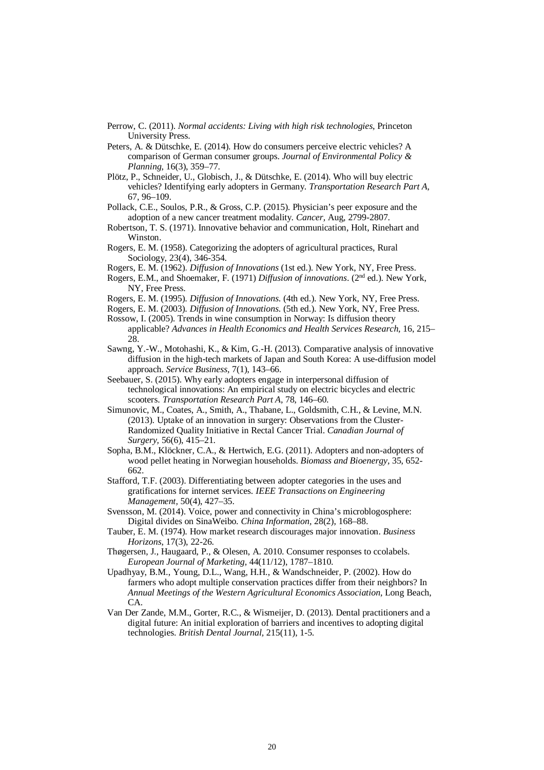- Perrow, C. (2011). *Normal accidents: Living with high risk technologies*, Princeton University Press.
- Peters, A. & Dütschke, E. (2014). How do consumers perceive electric vehicles? A comparison of German consumer groups. *Journal of Environmental Policy & Planning,* 16(3), 359–77.
- Plötz, P., Schneider, U., Globisch, J., & Dütschke, E. (2014). Who will buy electric vehicles? Identifying early adopters in Germany. *Transportation Research Part A,* 67, 96–109.
- Pollack, C.E., Soulos, P.R., & Gross, C.P. (2015). Physician's peer exposure and the adoption of a new cancer treatment modality. *Cancer,* Aug, 2799-2807.
- Robertson, T. S. (1971). Innovative behavior and communication, Holt, Rinehart and Winston.
- Rogers, E. M. (1958). Categorizing the adopters of agricultural practices, Rural Sociology, 23(4), 346-354.
- Rogers, E. M. (1962). *Diffusion of Innovations* (1st ed.). New York, NY, Free Press.
- Rogers, E.M., and Shoemaker, F. (1971) *Diffusion of innovations*. (2nd ed.). New York, NY, Free Press.
- Rogers, E. M. (1995). *Diffusion of Innovations*. (4th ed.). New York, NY, Free Press.
- Rogers, E. M. (2003). *Diffusion of Innovations*. (5th ed.). New York, NY, Free Press.
- Rossow, I. (2005). Trends in wine consumption in Norway: Is diffusion theory applicable? *Advances in Health Economics and Health Services Research,* 16, 215– 28.
- Sawng, Y.-W., Motohashi, K., & Kim, G.-H. (2013). Comparative analysis of innovative diffusion in the high-tech markets of Japan and South Korea: A use-diffusion model approach. *Service Business,* 7(1), 143–66.
- Seebauer, S. (2015). Why early adopters engage in interpersonal diffusion of technological innovations: An empirical study on electric bicycles and electric scooters. *Transportation Research Part A,* 78, 146–60.
- Simunovic, M., Coates, A., Smith, A., Thabane, L., Goldsmith, C.H., & Levine, M.N. (2013). Uptake of an innovation in surgery: Observations from the Cluster-Randomized Quality Initiative in Rectal Cancer Trial. *Canadian Journal of Surgery,* 56(6), 415–21.
- Sopha, B.M., Klöckner, C.A., & Hertwich, E.G. (2011). Adopters and non-adopters of wood pellet heating in Norwegian households. *Biomass and Bioenergy,* 35, 652- 662.
- Stafford, T.F. (2003). Differentiating between adopter categories in the uses and gratifications for internet services. *IEEE Transactions on Engineering Management,* 50(4), 427–35.
- Svensson, M. (2014). Voice, power and connectivity in China's microblogosphere: Digital divides on SinaWeibo. *China Information,* 28(2), 168–88.
- Tauber, E. M. (1974). How market research discourages major innovation. *Business Horizons*, 17(3), 22-26.
- Thøgersen, J., Haugaard, P., & Olesen, A. 2010. Consumer responses to ccolabels. *European Journal of Marketing,* 44(11/12), 1787–1810.
- Upadhyay, B.M., Young, D.L., Wang, H.H., & Wandschneider, P. (2002). How do farmers who adopt multiple conservation practices differ from their neighbors? In *Annual Meetings of the Western Agricultural Economics Association,* Long Beach, CA.
- Van Der Zande, M.M., Gorter, R.C., & Wismeijer, D. (2013). Dental practitioners and a digital future: An initial exploration of barriers and incentives to adopting digital technologies. *British Dental Journal,* 215(11), 1-5.